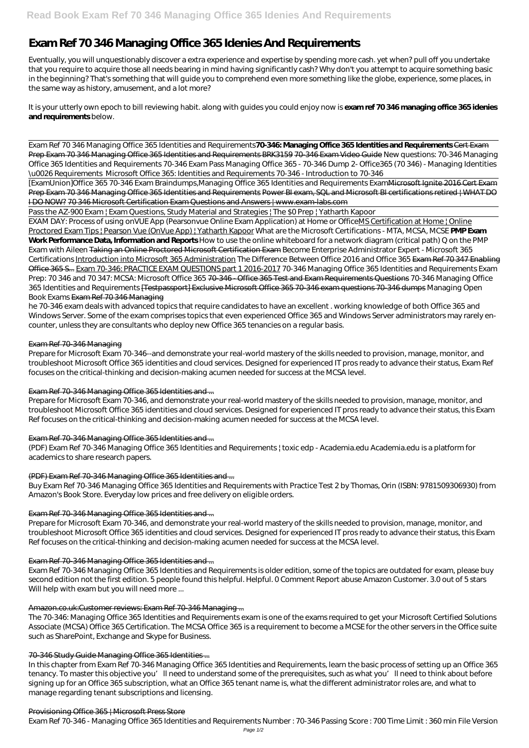# **Exam Ref 70 346 Managing Office 365 Idenies And Requirements**

Eventually, you will unquestionably discover a extra experience and expertise by spending more cash. yet when? pull off you undertake that you require to acquire those all needs bearing in mind having significantly cash? Why don't you attempt to acquire something basic in the beginning? That's something that will guide you to comprehend even more something like the globe, experience, some places, in the same way as history, amusement, and a lot more?

It is your utterly own epoch to bill reviewing habit. along with guides you could enjoy now is **exam ref 70 346 managing office 365 idenies and requirements** below.

[ExamUnion]Office 365 70-346 Exam Braindumps, Managing Office 365 Identities and Requirements Exam Microsoft Ignite 2016 Cert Exam Prep Exam 70 346 Managing Office 365 Identities and Requirements Power BI exam, SQL and Microsoft BI certifications retired | WHAT DO I DO NOW? 70 346 Microsoft Certification Exam Questions and Answers | www.exam-labs.com

Pass the AZ-900 Exam | Exam Questions, Study Material and Strategies | The \$0 Prep | Yatharth Kapoor

Exam Ref 70 346 Managing Office 365 Identities and Requirements**70-346: Managing Office 365 Identities and Requirements** Cert Exam Prep Exam 70 346 Managing Office 365 Identities and Requirements BRK3159 70-346 Exam Video Guide *New questions: 70-346 Managing Office 365 Identities and Requirements* 70-346 Exam Pass Managing Office 365 - 70-346 Dump 2- Office365 (70 346) - Managing Identities \u0026 Requirements *Microsoft Office 365: Identities and Requirements 70-346 - Introduction to 70-346*

EXAM DAY: Process of using onVUE App (Pearsonvue Online Exam Application) at Home or OfficeMS Certification at Home | Online Proctored Exam Tips | Pearson Vue (OnVue App) | Yatharth Kapoor What are the Microsoft Certifications - MTA, MCSA, MCSE **PMP Exam Work Performance Data, Information and Reports** How to use the online whiteboard for a network diagram (critical path) Q on the PMP Exam with Aileen Taking an Online Proctored Microsoft Certification Exam *Become Enterprise Administrator Expert - Microsoft 365 Certifications* Introduction into Microsoft 365 Administration *The Difference Between Office 2016 and Office 365* Exam Ref 70 347 Enabling Office 365 S... Exam 70-346: PRACTICE EXAM QUESTIONS part 1 2016-2017 70-346 Managing Office 365 Identities and Requirements Exam Prep: 70 346 and 70 347: MCSA: Microsoft Office 365 70-346 - Office 365 Test and Exam Requirements Questions *70-346 Managing Office 365 Identities and Requirements* [Testpassport] Exclusive Microsoft Office 365 70-346 exam questions 70-346 dumps *Managing Open Book Exams* Exam Ref 70 346 Managing

Exam Ref 70-346 Managing Office 365 Identities and Requirements is older edition, some of the topics are outdated for exam, please buy second edition not the first edition. 5 people found this helpful. Helpful. 0 Comment Report abuse Amazon Customer. 3.0 out of 5 stars Will help with exam but you will need more ...

he 70-346 exam deals with advanced topics that require candidates to have an excellent . working knowledge of both Office 365 and Windows Server. Some of the exam comprises topics that even experienced Office 365 and Windows Server administrators may rarely encounter, unless they are consultants who deploy new Office 365 tenancies on a regular basis.

# Exam Ref 70-346 Managing

Prepare for Microsoft Exam 70-346--and demonstrate your real-world mastery of the skills needed to provision, manage, monitor, and troubleshoot Microsoft Office 365 identities and cloud services. Designed for experienced IT pros ready to advance their status, Exam Ref focuses on the critical-thinking and decision-making acumen needed for success at the MCSA level.

# Exam Ref 70-346 Managing Office 365 Identities and ...

Prepare for Microsoft Exam 70-346, and demonstrate your real-world mastery of the skills needed to provision, manage, monitor, and troubleshoot Microsoft Office 365 identities and cloud services. Designed for experienced IT pros ready to advance their status, this Exam Ref focuses on the critical-thinking and decision-making acumen needed for success at the MCSA level.

# Exam Ref 70-346 Managing Office 365 Identities and ...

(PDF) Exam Ref 70-346 Managing Office 365 Identities and Requirements | toxic edp - Academia.edu Academia.edu is a platform for academics to share research papers.

# (PDF) Exam Ref 70-346 Managing Office 365 Identities and ...

Buy Exam Ref 70-346 Managing Office 365 Identities and Requirements with Practice Test 2 by Thomas, Orin (ISBN: 9781509306930) from Amazon's Book Store. Everyday low prices and free delivery on eligible orders.

# Exam Ref 70-346 Managing Office 365 Identities and ...

Prepare for Microsoft Exam 70-346, and demonstrate your real-world mastery of the skills needed to provision, manage, monitor, and troubleshoot Microsoft Office 365 identities and cloud services. Designed for experienced IT pros ready to advance their status, this Exam Ref focuses on the critical-thinking and decision-making acumen needed for success at the MCSA level.

# Exam Ref 70-346 Managing Office 365 Identities and ...

#### Amazon.co.uk:Customer reviews: Exam Ref 70-346 Managing ...

The 70-346: Managing Office 365 Identities and Requirements exam is one of the exams required to get your Microsoft Certified Solutions Associate (MCSA) Office 365 Certification. The MCSA Office 365 is a requirement to become a MCSE for the other servers in the Office suite such as SharePoint, Exchange and Skype for Business.

#### 70-346 Study Guide Managing Office 365 Identities ...

In this chapter from Exam Ref 70-346 Managing Office 365 Identities and Requirements, learn the basic process of setting up an Office 365 tenancy. To master this objective you'll need to understand some of the prerequisites, such as what you'll need to think about before signing up for an Office 365 subscription, what an Office 365 tenant name is, what the different administrator roles are, and what to manage regarding tenant subscriptions and licensing.

#### Provisioning Office 365 | Microsoft Press Store

Exam Ref 70-346 - Managing Office 365 Identities and Requirements Number : 70-346 Passing Score : 700 Time Limit : 360 min File Version